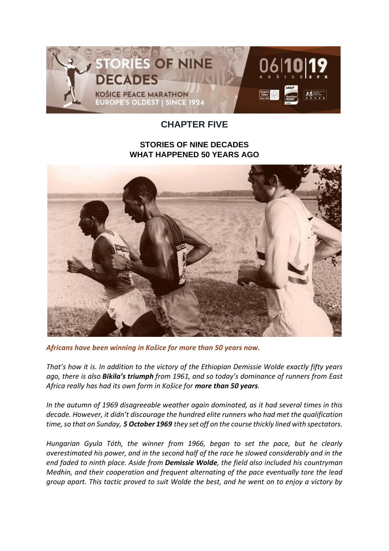

## **CHAPTER FIVE**

## **STORIES OF NINE DECADES WHAT HAPPENED 50 YEARS AGO**



*Africans have been winning in Košice for more than 50 years now.*

*That's how it is. In addition to the victory of the Ethiopian Demissie Wolde exactly fifty years ago, there is also Bikila's triumph from 1961, and so today's dominance of runners from East Africa really has had its own form in Košice for more than 50 years.*

*In the autumn of 1969 disagreeable weather again dominated, as it had several times in this decade. However, it didn't discourage the hundred elite runners who had met the qualification time, so that on Sunday, 5 October 1969 they set off on the course thickly lined with spectators.*

*Hungarian Gyula Tóth, the winner from 1966, began to set the pace, but he clearly overestimated his power, and in the second half of the race he slowed considerably and in the end faded to ninth place. Aside from Demissie Wolde, the field also included his countryman Medhin, and their cooperation and frequent alternating of the pace eventually tore the lead group apart. This tactic proved to suit Wolde the best, and he went on to enjoy a victory by*